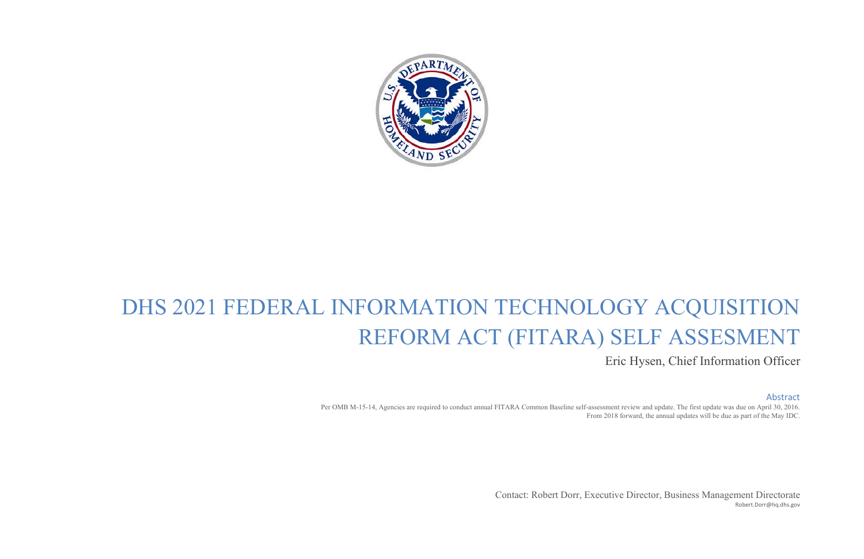

# DHS 2021 FEDERAL INFORMATION TECHNOLOGY ACQUISITION REFORM ACT (FITARA) SELF ASSESMENT Eric Hysen, Chief Information Officer

#### Abstract

Per OMB M-15-14, Agencies are required to conduct annual FITARA Common Baseline self-assessment review and update. The first update was due on April 30, 2016. From 2018 forward, the annual updates will be due as part of the May IDC.

> Contact: Robert Dorr, Executive Director, Business Management Directorate [Robert.Dorr@hq.dhs.gov](mailto:Robert.Dorr@hq.dhs.gov)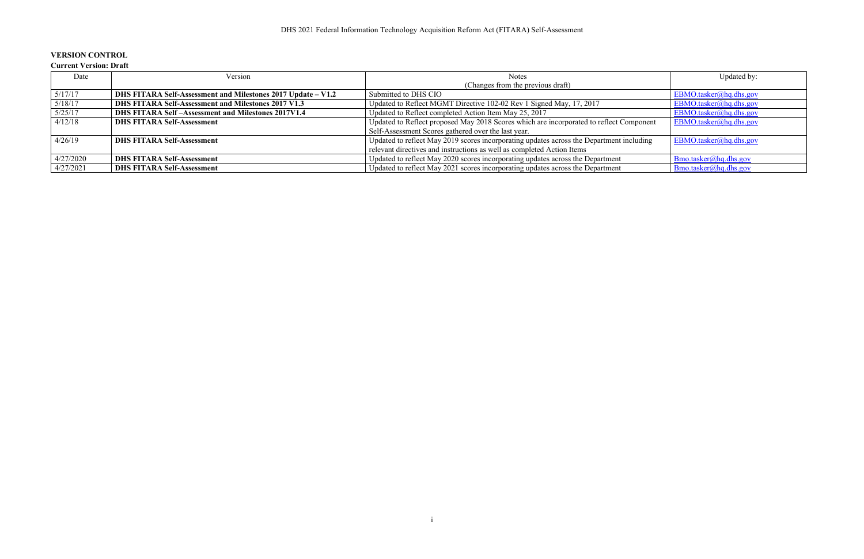## **VERSION CONTROL**

#### **Current Version: Draft**

| Date      | Version                                                      | <b>Notes</b>                                                                             | Updated by:            |
|-----------|--------------------------------------------------------------|------------------------------------------------------------------------------------------|------------------------|
|           |                                                              | (Changes from the previous draft)                                                        |                        |
| 5/17/17   | DHS FITARA Self-Assessment and Milestones 2017 Update – V1.2 | Submitted to DHS CIO                                                                     | EBMO.tasker@hq.dhs.gov |
| 5/18/17   | DHS FITARA Self-Assessment and Milestones 2017 V1.3          | Updated to Reflect MGMT Directive 102-02 Rev 1 Signed May, 17, 2017                      | EBMO.tasker@hq.dhs.gov |
| 5/25/17   | DHS FITARA Self-Assessment and Milestones 2017V1.4           | Updated to Reflect completed Action Item May 25, 2017                                    | EBMO.tasker@hq.dhs.gov |
| 4/12/18   | <b>DHS FITARA Self-Assessment</b>                            | Updated to Reflect proposed May 2018 Scores which are incorporated to reflect Component  | EBMO.tasker@hq.dhs.gov |
|           |                                                              | Self-Assessment Scores gathered over the last year.                                      |                        |
| 4/26/19   | <b>DHS FITARA Self-Assessment</b>                            | Updated to reflect May 2019 scores incorporating updates across the Department including | EBMO.tasker@hq.dhs.gov |
|           |                                                              | relevant directives and instructions as well as completed Action Items                   |                        |
| 4/27/2020 | <b>DHS FITARA Self-Assessment</b>                            | Updated to reflect May 2020 scores incorporating updates across the Department           | Bmo.tasker@hq.dhs.gov  |
| 4/27/2021 | <b>DHS FITARA Self-Assessment</b>                            | Updated to reflect May 2021 scores incorporating updates across the Department           | Bmo.tasker@hq.dhs.gov  |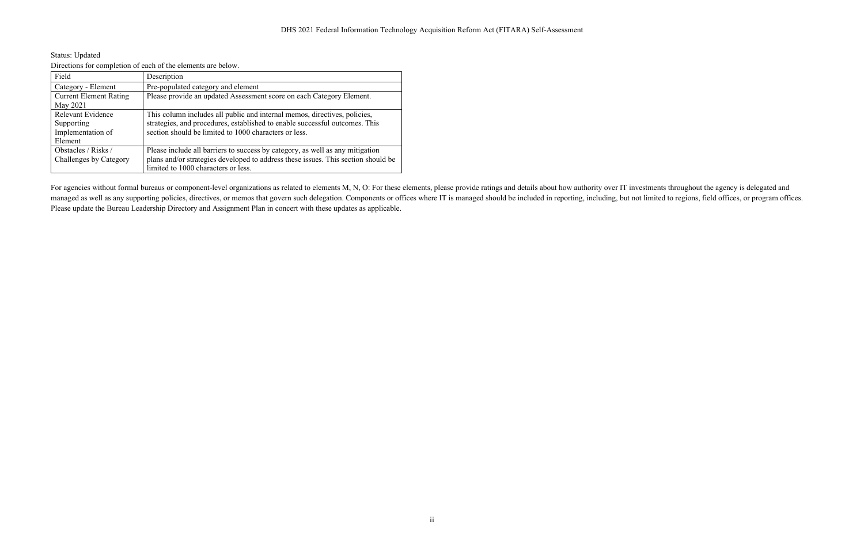| <b>Status: Updated</b>                                       |
|--------------------------------------------------------------|
| Directions for completion of each of the elements are below. |

| Field                         | Description                                                                       |
|-------------------------------|-----------------------------------------------------------------------------------|
| Category - Element            | Pre-populated category and element                                                |
| <b>Current Element Rating</b> | Please provide an updated Assessment score on each Category Element.              |
| May 2021                      |                                                                                   |
| <b>Relevant Evidence</b>      | This column includes all public and internal memos, directives, policies,         |
| Supporting                    | strategies, and procedures, established to enable successful outcomes. This       |
| Implementation of             | section should be limited to 1000 characters or less.                             |
| Element                       |                                                                                   |
| Obstacles / Risks /           | Please include all barriers to success by category, as well as any mitigation     |
| Challenges by Category        | plans and/or strategies developed to address these issues. This section should be |
|                               | limited to 1000 characters or less.                                               |

For agencies without formal bureaus or component-level organizations as related to elements M, N, O: For these elements, please provide ratings and details about how authority over IT investments throughout the agency is d managed as well as any supporting policies, directives, or memos that govern such delegation. Components or offices where IT is managed should be included in reporting, including, but not limited to regions, field offices, Please update the Bureau Leadership Directory and Assignment Plan in concert with these updates as applicable.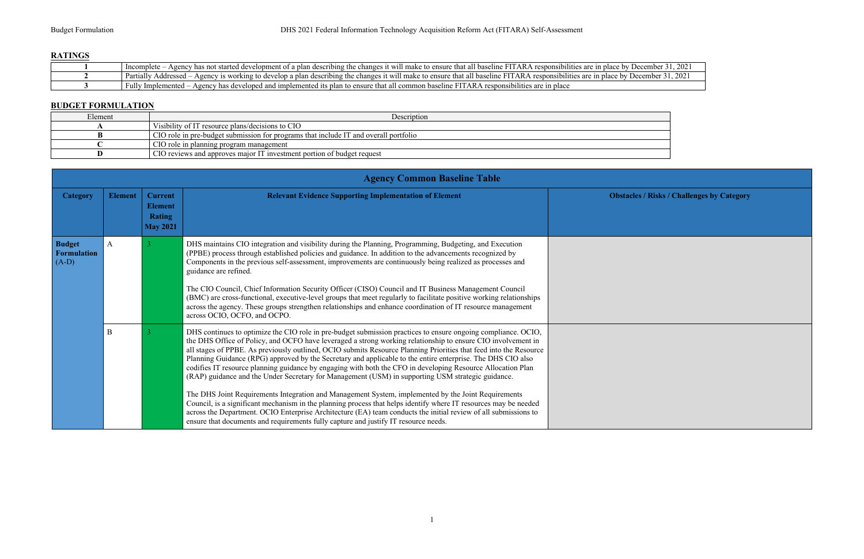## **RATINGS**

| .<br>t has not started devel<br>Incomplete<br>n describing the changes it will make to ensure that all baseline<br>$-$ responsibilities $\alpha$<br>e hv<br>r of a plan<br>1n<br>nia                                                      |
|-------------------------------------------------------------------------------------------------------------------------------------------------------------------------------------------------------------------------------------------|
| <b>TITT</b><br>Partially<br>`AR A<br>s it will make to ensure that all u<br>$\sqrt{2}$ is working to develop a plan describing the changes<br>re by L<br>  baseline<br>responsibilities are in place $\overline{a}$<br>Ageno<br>Addressed |
| Fully<br>. ARA<br>$\mu$ common baseline $F^+$<br>lementec<br>$\eta$ has developed and implemented its $\eta$<br>. Imr<br>s plan to ensure that<br>in place<br>Agency<br>$\therefore$ responsibilities $\therefore$<br>are                 |

|                           | Incomplete – Agency has not started development of a plan describing the changes it will make to ensure that all baseline FITARA responsibilities are in place by December 31, 2021 |  |  |
|---------------------------|-------------------------------------------------------------------------------------------------------------------------------------------------------------------------------------|--|--|
|                           | Partially Addressed – Agency is working to develop a plan describing the changes it will make to ensure that all baseline FITARA responsibilities are in place by December 31, 2021 |  |  |
|                           | Fully Implemented – Agency has developed and implemented its plan to ensure that all common baseline FITARA responsibilities are in place                                           |  |  |
|                           |                                                                                                                                                                                     |  |  |
| <b>BUDGET FORMULATION</b> |                                                                                                                                                                                     |  |  |
| Element                   | Description                                                                                                                                                                         |  |  |
|                           | Visibility of IT resource plans/decisions to CIO                                                                                                                                    |  |  |
|                           | CIO role in pre-budget submission for programs that include IT and overall portfolio                                                                                                |  |  |
|                           | CIO role in planning program management                                                                                                                                             |  |  |
|                           | CIO reviews and approves major IT investment portion of budget request                                                                                                              |  |  |

|                                                | <b>Agency Common Baseline Table</b> |                                                                      |                                                                                                                                                                                                                                                                                                                                                                                                                                                                                                                                                                                                                                                                                                                                                                                                                                                                                                                                                                                                                                                                                                                            |                |
|------------------------------------------------|-------------------------------------|----------------------------------------------------------------------|----------------------------------------------------------------------------------------------------------------------------------------------------------------------------------------------------------------------------------------------------------------------------------------------------------------------------------------------------------------------------------------------------------------------------------------------------------------------------------------------------------------------------------------------------------------------------------------------------------------------------------------------------------------------------------------------------------------------------------------------------------------------------------------------------------------------------------------------------------------------------------------------------------------------------------------------------------------------------------------------------------------------------------------------------------------------------------------------------------------------------|----------------|
| <b>Category</b>                                | <b>Element</b>                      | <b>Current</b><br><b>Element</b><br><b>Rating</b><br><b>May 2021</b> | <b>Relevant Evidence Supporting Implementation of Element</b>                                                                                                                                                                                                                                                                                                                                                                                                                                                                                                                                                                                                                                                                                                                                                                                                                                                                                                                                                                                                                                                              | <b>Obstacl</b> |
| <b>Budget</b><br><b>Formulation</b><br>$(A-D)$ | $\mathbf{A}$                        | 3                                                                    | DHS maintains CIO integration and visibility during the Planning, Programming, Budgeting, and Execution<br>(PPBE) process through established policies and guidance. In addition to the advancements recognized by<br>Components in the previous self-assessment, improvements are continuously being realized as processes and<br>guidance are refined.<br>The CIO Council, Chief Information Security Officer (CISO) Council and IT Business Management Council<br>(BMC) are cross-functional, executive-level groups that meet regularly to facilitate positive working relationships<br>across the agency. These groups strengthen relationships and enhance coordination of IT resource management<br>across OCIO, OCFO, and OCPO.                                                                                                                                                                                                                                                                                                                                                                                    |                |
|                                                | $\mathbf{B}$                        | 3                                                                    | DHS continues to optimize the CIO role in pre-budget submission practices to ensure ongoing compliance. OCIO,<br>the DHS Office of Policy, and OCFO have leveraged a strong working relationship to ensure CIO involvement in<br>all stages of PPBE. As previously outlined, OCIO submits Resource Planning Priorities that feed into the Resource<br>Planning Guidance (RPG) approved by the Secretary and applicable to the entire enterprise. The DHS CIO also<br>codifies IT resource planning guidance by engaging with both the CFO in developing Resource Allocation Plan<br>(RAP) guidance and the Under Secretary for Management (USM) in supporting USM strategic guidance.<br>The DHS Joint Requirements Integration and Management System, implemented by the Joint Requirements<br>Council, is a significant mechanism in the planning process that helps identify where IT resources may be needed<br>across the Department. OCIO Enterprise Architecture (EA) team conducts the initial review of all submissions to<br>ensure that documents and requirements fully capture and justify IT resource needs. |                |

#### **Risks / Challenges by Category**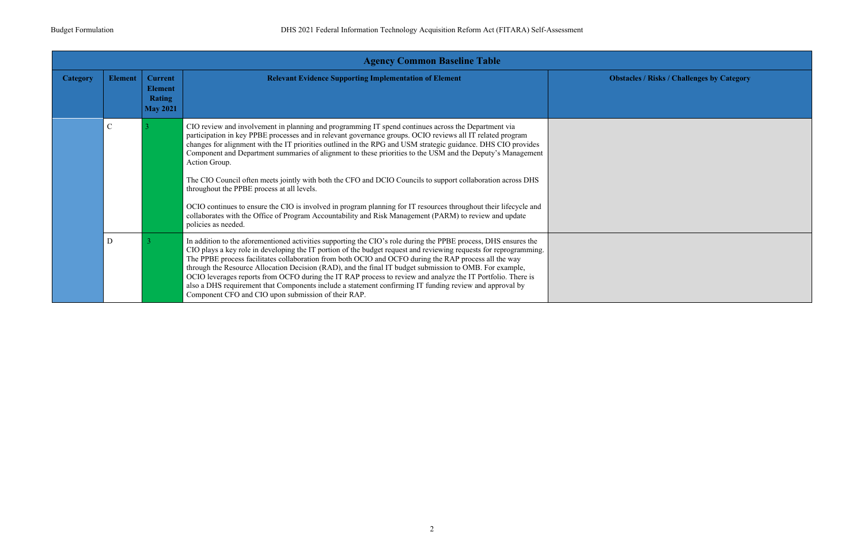

|                 | <b>Agency Common Baseline Table</b> |                                                                      |                                                                                                                                                                                                                                                                                                                                                                                                                                                                                                                                                                                                                                                                                                                                                                                                                                                                                     |                 |
|-----------------|-------------------------------------|----------------------------------------------------------------------|-------------------------------------------------------------------------------------------------------------------------------------------------------------------------------------------------------------------------------------------------------------------------------------------------------------------------------------------------------------------------------------------------------------------------------------------------------------------------------------------------------------------------------------------------------------------------------------------------------------------------------------------------------------------------------------------------------------------------------------------------------------------------------------------------------------------------------------------------------------------------------------|-----------------|
| <b>Category</b> | <b>Element</b>                      | <b>Current</b><br><b>Element</b><br><b>Rating</b><br><b>May 2021</b> | <b>Relevant Evidence Supporting Implementation of Element</b>                                                                                                                                                                                                                                                                                                                                                                                                                                                                                                                                                                                                                                                                                                                                                                                                                       | <b>Obstacle</b> |
|                 | $\overline{C}$                      |                                                                      | CIO review and involvement in planning and programming IT spend continues across the Department via<br>participation in key PPBE processes and in relevant governance groups. OCIO reviews all IT related program<br>changes for alignment with the IT priorities outlined in the RPG and USM strategic guidance. DHS CIO provides<br>Component and Department summaries of alignment to these priorities to the USM and the Deputy's Management<br>Action Group.<br>The CIO Council often meets jointly with both the CFO and DCIO Councils to support collaboration across DHS<br>throughout the PPBE process at all levels.<br>OCIO continues to ensure the CIO is involved in program planning for IT resources throughout their lifecycle and<br>collaborates with the Office of Program Accountability and Risk Management (PARM) to review and update<br>policies as needed. |                 |
|                 | D                                   |                                                                      | In addition to the aforementioned activities supporting the CIO's role during the PPBE process, DHS ensures the<br>CIO plays a key role in developing the IT portion of the budget request and reviewing requests for reprogramming.<br>The PPBE process facilitates collaboration from both OCIO and OCFO during the RAP process all the way<br>through the Resource Allocation Decision (RAD), and the final IT budget submission to OMB. For example,<br>OCIO leverages reports from OCFO during the IT RAP process to review and analyze the IT Portfolio. There is<br>also a DHS requirement that Components include a statement confirming IT funding review and approval by<br>Component CFO and CIO upon submission of their RAP.                                                                                                                                           |                 |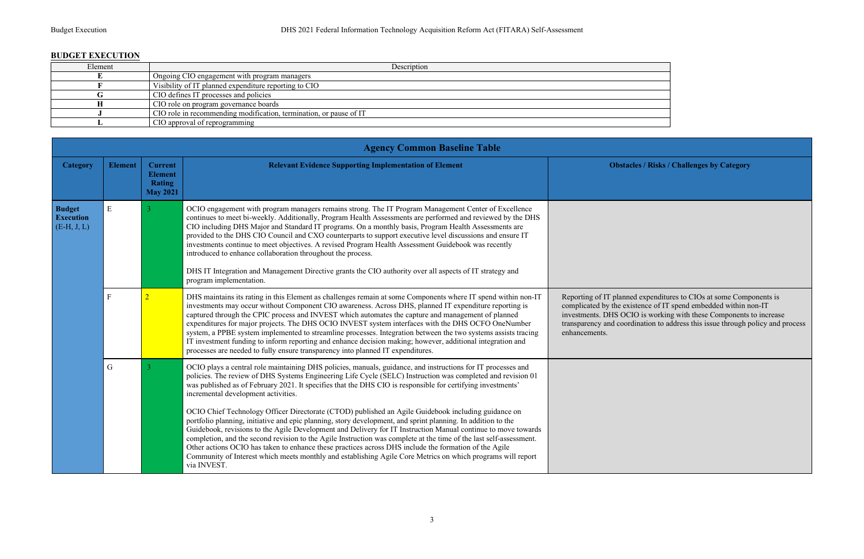#### **BUDGET EXECUTION**

| Description                                                        |
|--------------------------------------------------------------------|
| Ongoing CIO engagement with program managers                       |
| Visibility of IT planned expenditure reporting to CIO              |
| CIO defines IT processes and policies                              |
| CIO role on program governance boards                              |
| CIO role in recommending modification, termination, or pause of IT |
| CIO approval of reprogramming                                      |
|                                                                    |

|                                                    |                |                                                               | <b>Agency Common Baseline Table</b>                                                                                                                                                                                                                                                                                                                                                                                                                                                                                                                                                                                                                                                                                                                                                                                                                                                                                                                                                                                                                                                    |                                                                                                                          |
|----------------------------------------------------|----------------|---------------------------------------------------------------|----------------------------------------------------------------------------------------------------------------------------------------------------------------------------------------------------------------------------------------------------------------------------------------------------------------------------------------------------------------------------------------------------------------------------------------------------------------------------------------------------------------------------------------------------------------------------------------------------------------------------------------------------------------------------------------------------------------------------------------------------------------------------------------------------------------------------------------------------------------------------------------------------------------------------------------------------------------------------------------------------------------------------------------------------------------------------------------|--------------------------------------------------------------------------------------------------------------------------|
| <b>Category</b>                                    | <b>Element</b> | <b>Current</b><br><b>Element</b><br>Rating<br><b>May 2021</b> | <b>Relevant Evidence Supporting Implementation of Element</b>                                                                                                                                                                                                                                                                                                                                                                                                                                                                                                                                                                                                                                                                                                                                                                                                                                                                                                                                                                                                                          | <b>Obstack</b>                                                                                                           |
| <b>Budget</b><br><b>Execution</b><br>$(E-H, J, L)$ | ${\bf E}$      | 3                                                             | OCIO engagement with program managers remains strong. The IT Program Management Center of Excellence<br>continues to meet bi-weekly. Additionally, Program Health Assessments are performed and reviewed by the DHS<br>CIO including DHS Major and Standard IT programs. On a monthly basis, Program Health Assessments are<br>provided to the DHS CIO Council and CXO counterparts to support executive level discussions and ensure IT<br>investments continue to meet objectives. A revised Program Health Assessment Guidebook was recently<br>introduced to enhance collaboration throughout the process.<br>DHS IT Integration and Management Directive grants the CIO authority over all aspects of IT strategy and<br>program implementation.                                                                                                                                                                                                                                                                                                                                  |                                                                                                                          |
|                                                    | $\mathbf F$    | $\overline{2}$                                                | DHS maintains its rating in this Element as challenges remain at some Components where IT spend within non-IT<br>investments may occur without Component CIO awareness. Across DHS, planned IT expenditure reporting is<br>captured through the CPIC process and INVEST which automates the capture and management of planned<br>expenditures for major projects. The DHS OCIO INVEST system interfaces with the DHS OCFO OneNumber<br>system, a PPBE system implemented to streamline processes. Integration between the two systems assists tracing<br>IT investment funding to inform reporting and enhance decision making; however, additional integration and<br>processes are needed to fully ensure transparency into planned IT expenditures.                                                                                                                                                                                                                                                                                                                                 | Reporting of IT planned<br>complicated by the exist<br>investments. DHS OCIO<br>transparency and coordi<br>enhancements. |
|                                                    | $\mathbf G$    | 3                                                             | OCIO plays a central role maintaining DHS policies, manuals, guidance, and instructions for IT processes and<br>policies. The review of DHS Systems Engineering Life Cycle (SELC) Instruction was completed and revision 01<br>was published as of February 2021. It specifies that the DHS CIO is responsible for certifying investments'<br>incremental development activities.<br>OCIO Chief Technology Officer Directorate (CTOD) published an Agile Guidebook including guidance on<br>portfolio planning, initiative and epic planning, story development, and sprint planning. In addition to the<br>Guidebook, revisions to the Agile Development and Delivery for IT Instruction Manual continue to move towards<br>completion, and the second revision to the Agile Instruction was complete at the time of the last self-assessment.<br>Other actions OCIO has taken to enhance these practices across DHS include the formation of the Agile<br>Community of Interest which meets monthly and establishing Agile Core Metrics on which programs will report<br>via INVEST. |                                                                                                                          |

Reporting of IT planned expenditures to CIOs at some Components is complicated by the existence of IT spend embedded within non-IT investments. DHS OCIO is working with these Components to increase transparency and coordination to address this issue through policy and process

**Risks / Challenges by Category**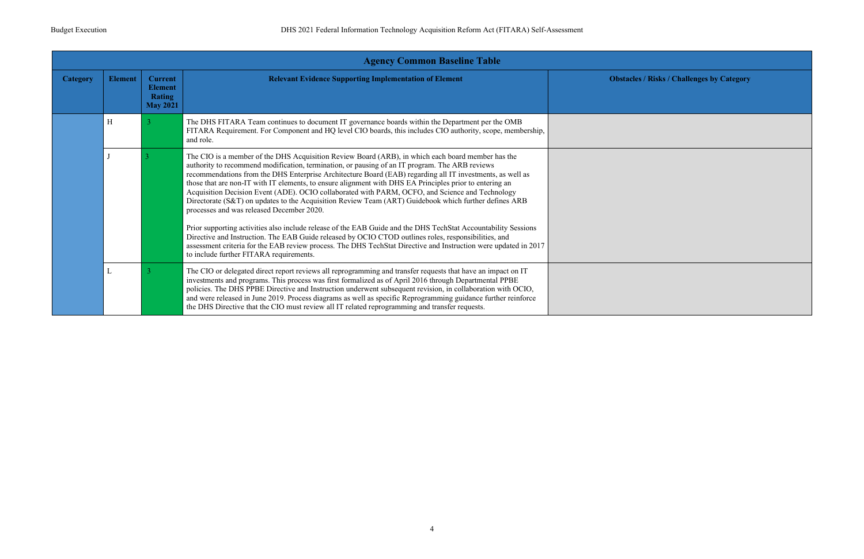

|                 |                |                                                                      | <b>Agency Common Baseline Table</b>                                                                                                                                                                                                                                                                                                                                                                                                                                                                                                                                                                                                                                                                                                                                                                                                                                                                            |                |
|-----------------|----------------|----------------------------------------------------------------------|----------------------------------------------------------------------------------------------------------------------------------------------------------------------------------------------------------------------------------------------------------------------------------------------------------------------------------------------------------------------------------------------------------------------------------------------------------------------------------------------------------------------------------------------------------------------------------------------------------------------------------------------------------------------------------------------------------------------------------------------------------------------------------------------------------------------------------------------------------------------------------------------------------------|----------------|
| <b>Category</b> | <b>Element</b> | <b>Current</b><br><b>Element</b><br><b>Rating</b><br><b>May 2021</b> | <b>Relevant Evidence Supporting Implementation of Element</b>                                                                                                                                                                                                                                                                                                                                                                                                                                                                                                                                                                                                                                                                                                                                                                                                                                                  | <b>Obstacl</b> |
|                 | H              | 3                                                                    | The DHS FITARA Team continues to document IT governance boards within the Department per the OMB<br>FITARA Requirement. For Component and HQ level CIO boards, this includes CIO authority, scope, membership,<br>and role.                                                                                                                                                                                                                                                                                                                                                                                                                                                                                                                                                                                                                                                                                    |                |
|                 |                |                                                                      | The CIO is a member of the DHS Acquisition Review Board (ARB), in which each board member has the<br>authority to recommend modification, termination, or pausing of an IT program. The ARB reviews<br>recommendations from the DHS Enterprise Architecture Board (EAB) regarding all IT investments, as well as<br>those that are non-IT with IT elements, to ensure alignment with DHS EA Principles prior to entering an<br>Acquisition Decision Event (ADE). OCIO collaborated with PARM, OCFO, and Science and Technology<br>Directorate (S&T) on updates to the Acquisition Review Team (ART) Guidebook which further defines ARB<br>processes and was released December 2020.<br>Prior supporting activities also include release of the EAB Guide and the DHS TechStat Accountability Sessions<br>Directive and Instruction. The EAB Guide released by OCIO CTOD outlines roles, responsibilities, and |                |
|                 |                |                                                                      | assessment criteria for the EAB review process. The DHS TechStat Directive and Instruction were updated in 2017<br>to include further FITARA requirements.                                                                                                                                                                                                                                                                                                                                                                                                                                                                                                                                                                                                                                                                                                                                                     |                |
|                 | L              |                                                                      | The CIO or delegated direct report reviews all reprogramming and transfer requests that have an impact on IT<br>investments and programs. This process was first formalized as of April 2016 through Departmental PPBE<br>policies. The DHS PPBE Directive and Instruction underwent subsequent revision, in collaboration with OCIO,<br>and were released in June 2019. Process diagrams as well as specific Reprogramming guidance further reinforce<br>the DHS Directive that the CIO must review all IT related reprogramming and transfer requests.                                                                                                                                                                                                                                                                                                                                                       |                |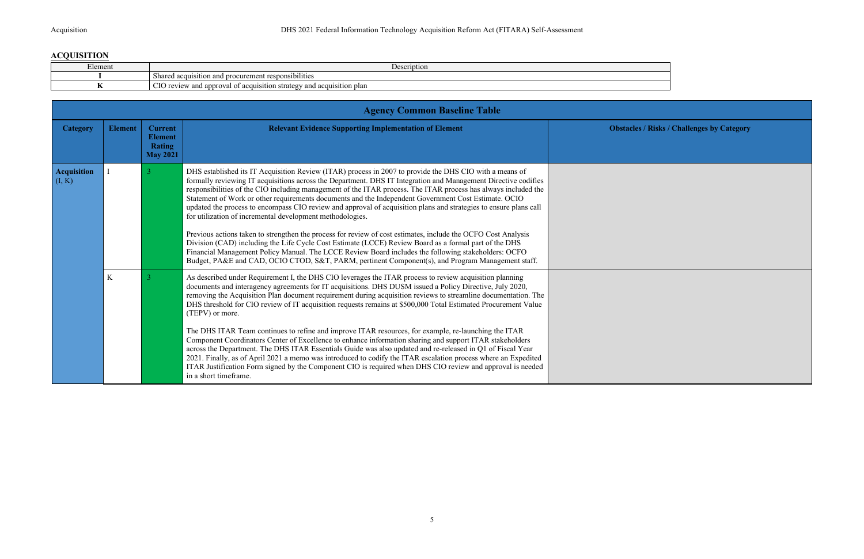## **ACQUISITION**

| $\blacksquare$<br>Elemen | Description                                                                                    |
|--------------------------|------------------------------------------------------------------------------------------------|
|                          | <br>:11טn<br>isition and procurement responsibilities<br>Shared acqui                          |
|                          | <b>CIO</b><br>review<br>and approval<br>y and acquisition plan<br>acquisition strategy<br>- OT |

| <b>Category</b>              | <b>Element</b> | <b>Current</b><br><b>Element</b><br><b>Rating</b><br><b>May 2021</b> | <b>Relevant Evidence Supporting Implementation of Element</b>                                                                                                                                                                                                                                                                                                                                                                                                                                                                                                                                                                                                                                                                                                                                                                                                                                                                                                                                                                                                               | <b>Obstacl</b> |
|------------------------------|----------------|----------------------------------------------------------------------|-----------------------------------------------------------------------------------------------------------------------------------------------------------------------------------------------------------------------------------------------------------------------------------------------------------------------------------------------------------------------------------------------------------------------------------------------------------------------------------------------------------------------------------------------------------------------------------------------------------------------------------------------------------------------------------------------------------------------------------------------------------------------------------------------------------------------------------------------------------------------------------------------------------------------------------------------------------------------------------------------------------------------------------------------------------------------------|----------------|
| <b>Acquisition</b><br>(I, K) |                | $\overline{3}$                                                       | DHS established its IT Acquisition Review (ITAR) process in 2007 to provide the DHS CIO with a means of<br>formally reviewing IT acquisitions across the Department. DHS IT Integration and Management Directive codifies<br>responsibilities of the CIO including management of the ITAR process. The ITAR process has always included the<br>Statement of Work or other requirements documents and the Independent Government Cost Estimate. OCIO<br>updated the process to encompass CIO review and approval of acquisition plans and strategies to ensure plans call<br>for utilization of incremental development methodologies.<br>Previous actions taken to strengthen the process for review of cost estimates, include the OCFO Cost Analysis<br>Division (CAD) including the Life Cycle Cost Estimate (LCCE) Review Board as a formal part of the DHS<br>Financial Management Policy Manual. The LCCE Review Board includes the following stakeholders: OCFO<br>Budget, PA&E and CAD, OCIO CTOD, S&T, PARM, pertinent Component(s), and Program Management staff. |                |
|                              | K              | 3                                                                    | As described under Requirement I, the DHS CIO leverages the ITAR process to review acquisition planning<br>documents and interagency agreements for IT acquisitions. DHS DUSM issued a Policy Directive, July 2020,<br>removing the Acquisition Plan document requirement during acquisition reviews to streamline documentation. The<br>DHS threshold for CIO review of IT acquisition requests remains at \$500,000 Total Estimated Procurement Value<br>(TEPV) or more.<br>The DHS ITAR Team continues to refine and improve ITAR resources, for example, re-launching the ITAR<br>Component Coordinators Center of Excellence to enhance information sharing and support ITAR stakeholders<br>across the Department. The DHS ITAR Essentials Guide was also updated and re-released in Q1 of Fiscal Year<br>2021. Finally, as of April 2021 a memo was introduced to codify the ITAR escalation process where an Expedited<br>ITAR Justification Form signed by the Component CIO is required when DHS CIO review and approval is needed<br>in a short timeframe.       |                |

**Resupporting Industry Institute Institute Institute Institute Institute Institute Institute Institute Institute Institute Institute Institute Institute Institute Institute Institute Institute Institute Institute Institute**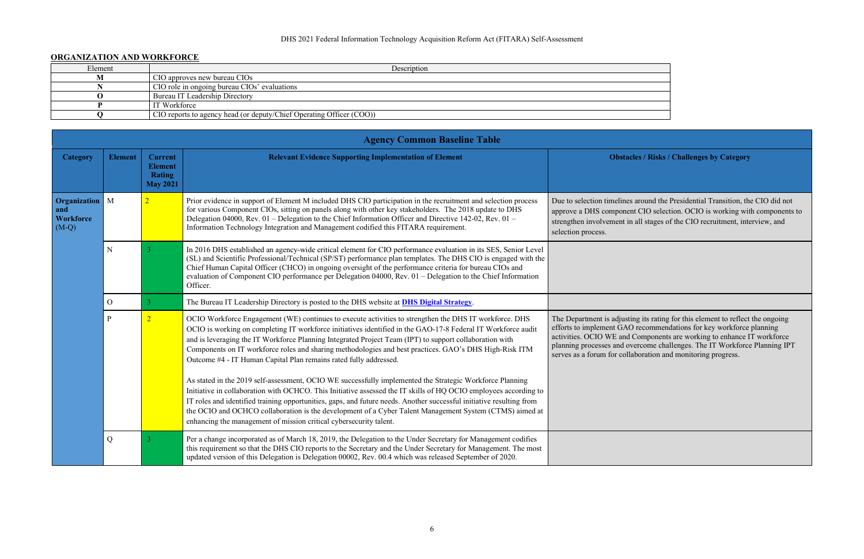#### DHS 2021 Federal Information Technology Acquisition Reform Act (FITARA) Self-Assessment

#### **ORGANIZATION AND WORKFORCE**

| Element | Description                                                          |  |
|---------|----------------------------------------------------------------------|--|
|         | CIO approves new bureau CIOs                                         |  |
|         | CIO role in ongoing bureau CIOs' evaluations                         |  |
|         | Bureau IT Leadership Directory                                       |  |
|         | IT Workforce                                                         |  |
|         | CIO reports to agency head (or deputy/Chief Operating Officer (COO)) |  |

In a general its rating for this element to reflect the ongoing efforts to implement GAO recommendations for key workforce planning activities. OCIO WE and Components are working to enhance IT workforce planning processes and overcome challenges. The IT Workforce Planning IPT serves as a forum for collaboration and monitoring progress.

| <b>Category</b>                                    | <b>Element</b> | <b>Current</b><br><b>Element</b><br><b>Rating</b><br><b>May 2021</b> | <b>Relevant Evidence Supporting Implementation of Element</b>                                                                                                                                                                                                                                                                                                                                                                                                                                                                         | <b>Obstack</b>                                                                                                                                    |
|----------------------------------------------------|----------------|----------------------------------------------------------------------|---------------------------------------------------------------------------------------------------------------------------------------------------------------------------------------------------------------------------------------------------------------------------------------------------------------------------------------------------------------------------------------------------------------------------------------------------------------------------------------------------------------------------------------|---------------------------------------------------------------------------------------------------------------------------------------------------|
| Organization<br>and<br><b>Workforce</b><br>$(M-Q)$ | $\mathbf{M}$   |                                                                      | Prior evidence in support of Element M included DHS CIO participation in the recruitment and selection process<br>for various Component CIOs, sitting on panels along with other key stakeholders. The 2018 update to DHS<br>Delegation 04000, Rev. 01 – Delegation to the Chief Information Officer and Directive 142-02, Rev. 01 –<br>Information Technology Integration and Management codified this FITARA requirement.                                                                                                           | Due to selection timelines a<br>approve a DHS component<br>strengthen involvement in a<br>selection process.                                      |
|                                                    | ${\bf N}$      |                                                                      | In 2016 DHS established an agency-wide critical element for CIO performance evaluation in its SES, Senior Level<br>(SL) and Scientific Professional/Technical (SP/ST) performance plan templates. The DHS CIO is engaged with the<br>Chief Human Capital Officer (CHCO) in ongoing oversight of the performance criteria for bureau CIOs and<br>evaluation of Component CIO performance per Delegation 04000, Rev. 01 - Delegation to the Chief Information<br>Officer.                                                               |                                                                                                                                                   |
|                                                    | $\mathcal{O}$  | 3                                                                    | The Bureau IT Leadership Directory is posted to the DHS website at <b>DHS Digital Strategy</b> .                                                                                                                                                                                                                                                                                                                                                                                                                                      |                                                                                                                                                   |
|                                                    | $\mathbf P$    | $\overline{2}$                                                       | OCIO Workforce Engagement (WE) continues to execute activities to strengthen the DHS IT workforce. DHS<br>OCIO is working on completing IT workforce initiatives identified in the GAO-17-8 Federal IT Workforce audit<br>and is leveraging the IT Workforce Planning Integrated Project Team (IPT) to support collaboration with<br>Components on IT workforce roles and sharing methodologies and best practices. GAO's DHS High-Risk ITM<br>Outcome #4 - IT Human Capital Plan remains rated fully addressed.                      | The Department is adjustin<br>efforts to implement GAO<br>activities. OCIO WE and C<br>planning processes and ove<br>serves as a forum for collab |
|                                                    |                |                                                                      | As stated in the 2019 self-assessment, OCIO WE successfully implemented the Strategic Workforce Planning<br>Initiative in collaboration with OCHCO. This Initiative assessed the IT skills of HQ OCIO employees according to<br>IT roles and identified training opportunities, gaps, and future needs. Another successful initiative resulting from<br>the OCIO and OCHCO collaboration is the development of a Cyber Talent Management System (CTMS) aimed at<br>enhancing the management of mission critical cybersecurity talent. |                                                                                                                                                   |
|                                                    | Q              |                                                                      | Per a change incorporated as of March 18, 2019, the Delegation to the Under Secretary for Management codifies<br>this requirement so that the DHS CIO reports to the Secretary and the Under Secretary for Management. The most<br>updated version of this Delegation is Delegation 00002, Rev. 00.4 which was released September of 2020.                                                                                                                                                                                            |                                                                                                                                                   |

| the company of the company                   |  |
|----------------------------------------------|--|
|                                              |  |
|                                              |  |
|                                              |  |
|                                              |  |
|                                              |  |
| the control of the control of the control of |  |
|                                              |  |

**Risks / Challenges by Category** 

around the Presidential Transition, the CIO did not t CIO selection. OCIO is working with components to all stages of the CIO recruitment, interview, and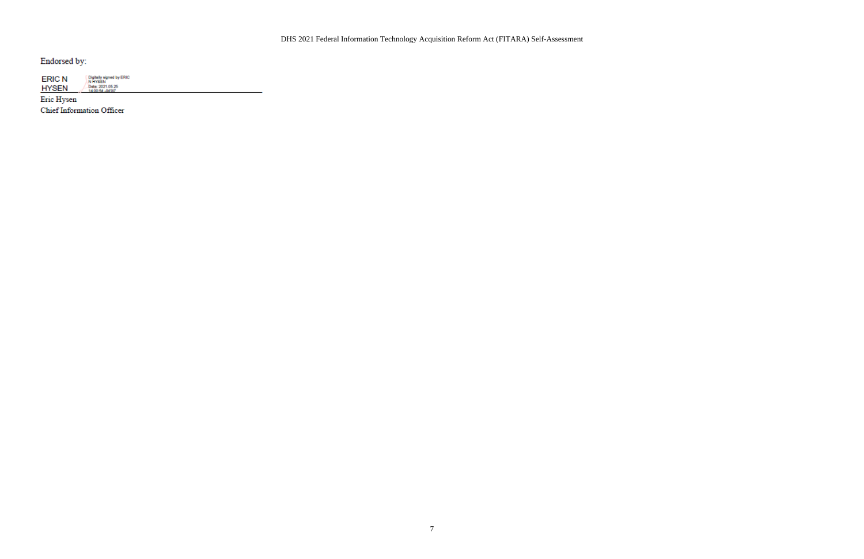Endorsed by:

| <b>ERIC N</b> | Digitally signed by ERIC<br>N HYSEN |
|---------------|-------------------------------------|
| <b>HYSEN</b>  | Date: 2021.05.25<br>14:00:54 -04:00 |

Eric Hysen Chief Information Officer